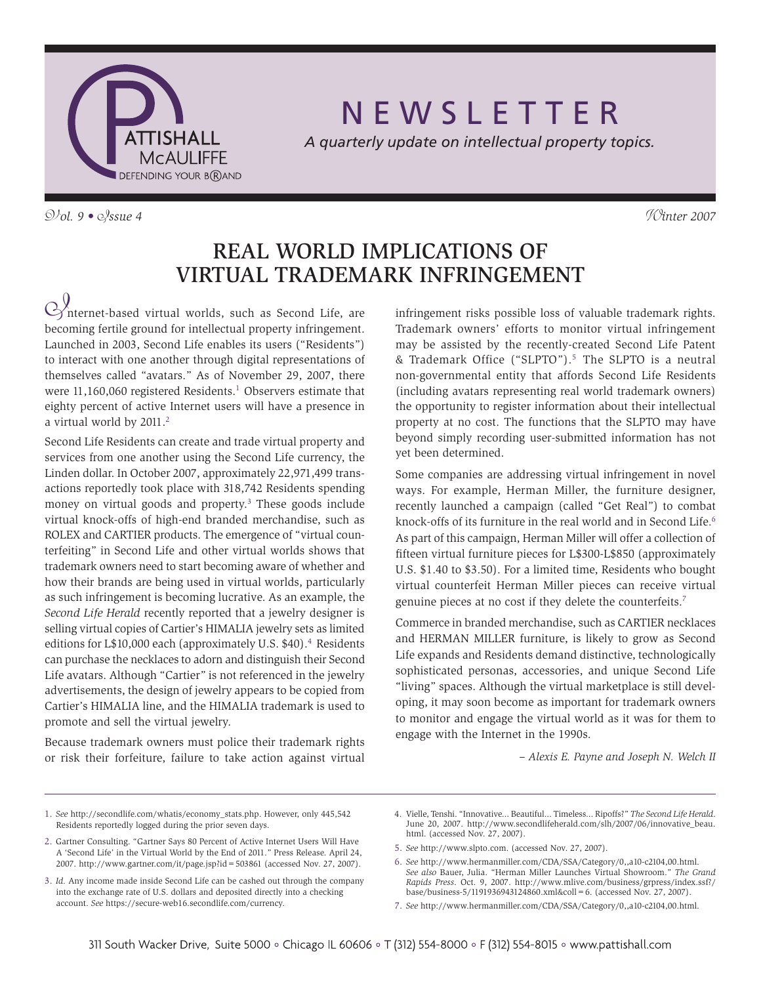

N E W S L E T T E R

*A quarterly update on intellectual property topics.*

V*ol. 9 •* I*ssue 4* W*inter 2007*

# Real World Implications of Virtual Trademark Infringement

 $\bigotimes$ nternet-based virtual worlds, such as Second Life, are becoming fertile ground for intellectual property infringement. Launched in 2003, Second Life enables its users ("Residents") to interact with one another through digital representations of themselves called "avatars." As of November 29, 2007, there were  $11,160,060$  registered Residents.<sup>1</sup> Observers estimate that eighty percent of active Internet users will have a presence in a virtual world by 2011.<sup>2</sup>

Second Life Residents can create and trade virtual property and services from one another using the Second Life currency, the Linden dollar. In October 2007, approximately 22,971,499 transactions reportedly took place with 318,742 Residents spending money on virtual goods and property.3 These goods include virtual knock-offs of high-end branded merchandise, such as ROLEX and CARTIER products. The emergence of "virtual counterfeiting" in Second Life and other virtual worlds shows that trademark owners need to start becoming aware of whether and how their brands are being used in virtual worlds, particularly as such infringement is becoming lucrative. As an example, the *Second Life Herald* recently reported that a jewelry designer is selling virtual copies of Cartier's HIMALIA jewelry sets as limited editions for L\$10,000 each (approximately U.S. \$40).<sup>4</sup> Residents can purchase the necklaces to adorn and distinguish their Second Life avatars. Although "Cartier" is not referenced in the jewelry advertisements, the design of jewelry appears to be copied from Cartier's HIMALIA line, and the HIMALIA trademark is used to promote and sell the virtual jewelry.

Because trademark owners must police their trademark rights or risk their forfeiture, failure to take action against virtual infringement risks possible loss of valuable trademark rights. Trademark owners' efforts to monitor virtual infringement may be assisted by the recently-created Second Life Patent & Trademark Office ("SLPTO").5 The SLPTO is a neutral non-governmental entity that affords Second Life Residents (including avatars representing real world trademark owners) the opportunity to register information about their intellectual property at no cost. The functions that the SLPTO may have beyond simply recording user-submitted information has not yet been determined.

Some companies are addressing virtual infringement in novel ways. For example, Herman Miller, the furniture designer, recently launched a campaign (called "Get Real") to combat knock-offs of its furniture in the real world and in Second Life. 6 As part of this campaign, Herman Miller will offer a collection of fifteen virtual furniture pieces for L\$300-L\$850 (approximately U.S. \$1.40 to \$3.50). For a limited time, Residents who bought virtual counterfeit Herman Miller pieces can receive virtual genuine pieces at no cost if they delete the counterfeits.<sup>7</sup>

Commerce in branded merchandise, such as CARTIER necklaces and HERMAN MILLER furniture, is likely to grow as Second Life expands and Residents demand distinctive, technologically sophisticated personas, accessories, and unique Second Life "living" spaces. Although the virtual marketplace is still developing, it may soon become as important for trademark owners to monitor and engage the virtual world as it was for them to engage with the Internet in the 1990s.

*– Alexis E. Payne and Joseph N. Welch II*

1. *See* http://secondlife.com/whatis/economy\_stats.php. However, only 445,542 Residents reportedly logged during the prior seven days.

- 3. *Id.* Any income made inside Second Life can be cashed out through the company into the exchange rate of U.S. dollars and deposited directly into a checking account. *See* https://secure-web16.secondlife.com/currency.
- 4. Vielle, Tenshi. "Innovative... Beautiful... Timeless... Ripoffs?" *The Second Life Herald*. June 20, 2007. http://www.secondlifeherald.com/slh/2007/06/innovative\_beau. html. (accessed Nov. 27, 2007).
- 5. *See* http://www.slpto.com. (accessed Nov. 27, 2007).
- 6. *See* http://www.hermanmiller.com/CDA/SSA/Category/0,,a10-c2104,00.html. *See also* Bauer, Julia. "Herman Miller Launches Virtual Showroom." *The Grand Rapids Press*. Oct. 9, 2007. http://www.mlive.com/business/grpress/index.ssf?/ base/business-5/1191936943124860.xml&coll=6. (accessed Nov. 27, 2007).
- 7. *See* http://www.hermanmiller.com/CDA/SSA/Category/0,,a10-c2104,00.html.

<sup>2.</sup> Gartner Consulting. "Gartner Says 80 Percent of Active Internet Users Will Have A 'Second Life' in the Virtual World by the End of 2011." Press Release. April 24, 2007. http://www.gartner.com/it/page.jsp?id=503861 (accessed Nov. 27, 2007).